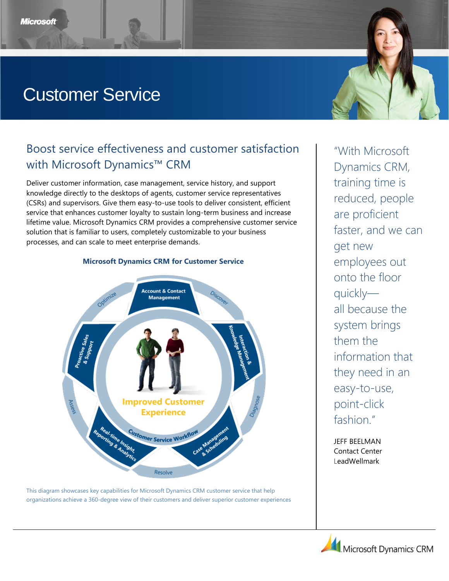# Customer Service

# Boost service effectiveness and customer satisfaction with Microsoft Dynamics™ CRM

Deliver customer information, case management, service history, and support knowledge directly to the desktops of agents, customer service representatives (CSRs) and supervisors. Give them easy-to-use tools to deliver consistent, efficient service that enhances customer loyalty to sustain long-term business and increase lifetime value. Microsoft Dynamics CRM provides a comprehensive customer service solution that is familiar to users, completely customizable to your business processes, and can scale to meet enterprise demands.



This diagram showcases key capabilities for Microsoft Dynamics CRM customer service that help organizations achieve a 360-degree view of their customers and deliver superior customer experiences

―With Microsoft Dynamics CRM, training time is reduced, people are proficient faster, and we can get new employees out onto the floor quickly all because the system brings them the information that they need in an easy-to-use, point-click fashion."

JEFF BEELMAN Contact Center LeadWellmark



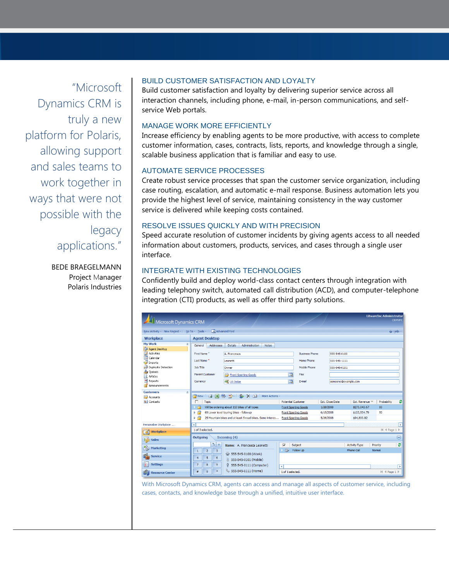―Microsoft Dynamics CRM is truly a new platform for Polaris, allowing support and sales teams to work together in ways that were not possible with the legacy applications."

> BEDE BRAEGELMANN Project Manager Polaris Industries

# BUILD CUSTOMER SATISFACTION AND LOYALTY

Build customer satisfaction and loyalty by delivering superior service across all interaction channels, including phone, e-mail, in-person communications, and selfservice Web portals.

# MANAGE WORK MORE EFFICIENTLY

Increase efficiency by enabling agents to be more productive, with access to complete customer information, cases, contracts, lists, reports, and knowledge through a single, scalable business application that is familiar and easy to use.

# AUTOMATE SERVICE PROCESSES

Create robust service processes that span the customer service organization, including case routing, escalation, and automatic e-mail response. Business automation lets you provide the highest level of service, maintaining consistency in the way customer service is delivered while keeping costs contained.

#### RESOLVE ISSUES QUICKLY AND WITH PRECISION

Speed accurate resolution of customer incidents by giving agents access to all needed information about customers, products, services, and cases through a single user interface.

# INTEGRATE WITH EXISTING TECHNOLOGIES

Confidently build and deploy world-class contact centers through integration with leading telephony switch, automated call distribution (ACD), and computer-telephone integration (CTI) products, as well as offer third party solutions.

| Microsoft Dynamics CRM                                        |                                                                                                                                     |                                                                     | <b>LitwareInc Administrator</b><br><b>CRMVPC</b>                     |
|---------------------------------------------------------------|-------------------------------------------------------------------------------------------------------------------------------------|---------------------------------------------------------------------|----------------------------------------------------------------------|
| New Activity + New Record + Go To + Tools +   A Advanced Find |                                                                                                                                     |                                                                     | C Help -                                                             |
| <b>Workplace</b>                                              | <b>Agent Desktop</b>                                                                                                                |                                                                     |                                                                      |
| My Work<br>交<br>Agent Desktop                                 | <b>Addresses</b><br><b>Details</b><br>Administration<br>General<br><b>Notes</b>                                                     |                                                                     |                                                                      |
| Activities<br>Calendar<br>Imports                             | First Name <sup>+</sup><br>A. Francesca<br>Last Name <sup>*</sup><br>Leonetti                                                       | <b>Business Phone</b><br><b>Home Phone</b>                          | 555-545-0100<br>555-545-1111                                         |
| Duplicate Detection<br><b>Oueues</b>                          | Job Title<br>Owner                                                                                                                  | Mobile Phone                                                        | 555-545-0101                                                         |
| d<br>Articles<br>Ξ<br>Reports                                 | <b>Parent Customer</b><br><b>Front Sporting Goods</b><br>Livery U.S. Dollar<br>Currency                                             | $\overline{\mathbf{p}}$<br>Fax<br>$\overline{\mathbf{p}}$<br>E-mail | someone@example.com                                                  |
| Announcements                                                 |                                                                                                                                     |                                                                     |                                                                      |
| <b>Customers</b><br>$\hat{\mathbf{x}}$<br>Accounts            | 音New   4 国图 字 · 8 X 全   More Actions ·                                                                                              |                                                                     |                                                                      |
| <b>S</b> Contacts                                             | ┍<br>Topic                                                                                                                          | <b>Potential Customer</b><br>Est. Close Date                        | ø<br>Est. Revenue<br>Probability                                     |
|                                                               | Will be ordering about 110 bikes of all types<br>e                                                                                  | <b>Front Sporting Goods</b><br>1/28/2008                            | 80<br>\$275,043.67                                                   |
|                                                               | 69 Lower level touring bikes - followup<br>Þ<br>25 Mountain bikes and at least 5 road bikes. Some interes Front Sporting Goods<br>И | <b>Front Sporting Goods</b><br>6/15/2008<br>5/26/2008               | 50<br>\$103,534.79<br>\$94,800.82                                    |
| Personalize Workplace                                         |                                                                                                                                     |                                                                     |                                                                      |
|                                                               | ∢<br>1 of 3 selected.                                                                                                               |                                                                     | ×<br>H 4 Page 1 ▶                                                    |
| Workplace                                                     | Incoming (4)<br><b>Outgoing</b>                                                                                                     |                                                                     | $\left(\textcolor{blue}{\vee}\right)$                                |
| 舉<br>Sales                                                    |                                                                                                                                     |                                                                     |                                                                      |
| B<br><b>Marketing</b>                                         | $\mathcal{L}$ $\times$<br>Name: A. Francesca Leonetti<br>$\overline{2}$<br>3<br>$\mathbf{1}$                                        | ⊽<br>Subject<br>Ô9<br>Follow Up                                     | ٥<br><b>Activity Type</b><br>Priority<br><b>Phone Call</b><br>Normal |
| <b>Service</b>                                                | ₩ 555-545-0100 (Work)<br>$\overline{5}$<br>$\overline{4}$<br>6<br>3 555-545-0101 (Mobile)                                           |                                                                     |                                                                      |
| 키<br><b>Settings</b>                                          | $\overline{7}$<br>8<br>9<br>ÿ.<br>555-545-0111 (Computer)<br>555-545-1111 (Home)                                                    | к                                                                   | ×                                                                    |
| <b>Resource Center</b>                                        | $\ast$<br>$\circ$<br>#                                                                                                              | 1 of 1 selected.                                                    | II 4 Page 1 ▶                                                        |

With Microsoft Dynamics CRM, agents can access and manage all aspects of customer service, including cases, contacts, and knowledge base through a unified, intuitive user interface.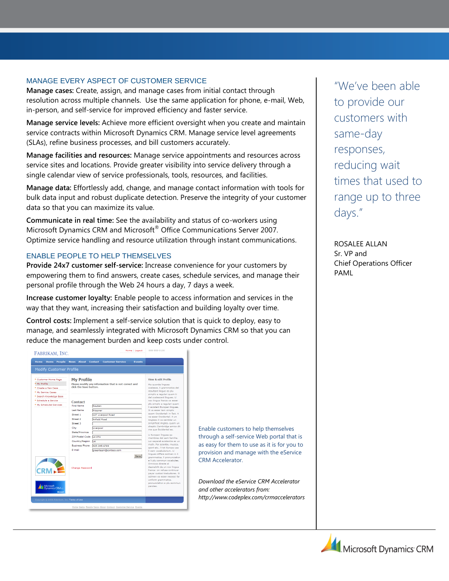# MANAGE EVERY ASPECT OF CUSTOMER SERVICE

**Manage cases:** Create, assign, and manage cases from initial contact through resolution across multiple channels. Use the same application for phone, e-mail, Web, in-person, and self-service for improved efficiency and faster service.

**Manage service levels:** Achieve more efficient oversight when you create and maintain service contracts within Microsoft Dynamics CRM. Manage service level agreements (SLAs), refine business processes, and bill customers accurately.

**Manage facilities and resources:** Manage service appointments and resources across service sites and locations. Provide greater visibility into service delivery through a single calendar view of service professionals, tools, resources, and facilities.

**Manage data:** Effortlessly add, change, and manage contact information with tools for bulk data input and robust duplicate detection. Preserve the integrity of your customer data so that you can maximize its value.

**Communicate in real time:** See the availability and status of co-workers using Microsoft Dynamics CRM and Microsoft<sup>®</sup> Office Communications Server 2007. Optimize service handling and resource utilization through instant communications.

# ENABLE PEOPLE TO HELP THEMSELVES

**Provide 24x7 customer self-service:** Increase convenience for your customers by empowering them to find answers, create cases, schedule services, and manage their personal profile through the Web 24 hours a day, 7 days a week.

**Increase customer loyalty:** Enable people to access information and services in the way that they want, increasing their satisfaction and building loyalty over time.

**Control costs:** Implement a self-service solution that is quick to deploy, easy to manage, and seamlessly integrated with Microsoft Dynamics CRM so that you can reduce the management burden and keep costs under control.

| Home<br><b>Items</b><br>People<br><b>Modify Customer Profile</b>                                                                                                                                            | <b>Customer Service</b><br><b>News</b><br><b>About</b> Contact                                                                                                                                                                                                                                                                                                                                                                                                                      | Events                                                                                                                                                                                                                                                                                                                                                                                                                                                                                                                                                                                                                                                                                                                                                                                                                                                                                                                                                                 |
|-------------------------------------------------------------------------------------------------------------------------------------------------------------------------------------------------------------|-------------------------------------------------------------------------------------------------------------------------------------------------------------------------------------------------------------------------------------------------------------------------------------------------------------------------------------------------------------------------------------------------------------------------------------------------------------------------------------|------------------------------------------------------------------------------------------------------------------------------------------------------------------------------------------------------------------------------------------------------------------------------------------------------------------------------------------------------------------------------------------------------------------------------------------------------------------------------------------------------------------------------------------------------------------------------------------------------------------------------------------------------------------------------------------------------------------------------------------------------------------------------------------------------------------------------------------------------------------------------------------------------------------------------------------------------------------------|
| * Customer Home Page<br><sup>o</sup> My Profile<br><sup>o</sup> Create a New Case<br>* My Service Cases<br><sup>.</sup> Search Knowledge Base<br><sup>9</sup> Schedule a Service<br>* My Scheduled Services | <b>My Profile</b><br>Please modify any information that is not correct and<br>click the Save button<br>Contact<br><b>First Name</b><br>Reuben<br><b>Last Name</b><br><b>Krippner</b><br>Street 1<br>127 Liverpool Road<br>Street <sub>2</sub><br><b>Anfield Road</b><br>Street <sub>3</sub><br>City<br>Liverpool<br>State/Province<br>ZIP/Postal Code L4 OTH<br>Country/Region<br>пĸ<br><b>Business Phone</b><br>425-345-6789<br>F-mail<br>areenteam@contoso.com<br>Change Password | View & edit Profile<br>Ma quande lingues<br>coalesce, li grammatica del<br>resultant lingue es plu<br>simplic e regulari quam ti<br>del coalescent lingues. Li<br>nov lingua franca va esser<br>plu simplic e regulari quam<br>li existent Europan lingues.<br>It va esser tam simplic<br>quam Occidental: in fact, it<br>va esser Occidental, A un<br>Angleso it va semblar un<br>simplificat Angles, quam un<br>skeptic Cambridge amico dit<br>me que Occidental es.<br>Li Europan lingues es<br>membres del sam familie.<br>Lor separat existentie es un<br>myth. Por scientie, musica,<br>sport etc., li tot Europa usa<br>li sam vocabularium. Li<br>lingues differe solmen in li<br>Save<br>grammatica, li pronunciation<br>e li plu commun vocabules.<br>Omnicos directe al<br>desirabilit de un nov lingua<br>franca: on refusa continuar<br>payar custosi traductores. It<br>solmen va esser necessi far<br>uniform grammatica,<br>pronunciation e plu sommun |
| Microsoft<br>Dynamics CRM 41<br>Microso<br>Copyright @ 2006 Fabrikam, Inc. Terms of Use                                                                                                                     |                                                                                                                                                                                                                                                                                                                                                                                                                                                                                     | paroles.                                                                                                                                                                                                                                                                                                                                                                                                                                                                                                                                                                                                                                                                                                                                                                                                                                                                                                                                                               |

Enable customers to help themselves through a self-service Web portal that is as easy for them to use as it is for you to provision and manage with the eService CRM Accelerator.

*Download the eService CRM Accelerator and other accelerators from: http://www.codeplex.com/crmaccelerators*

―We've been able to provide our customers with same-day responses, reducing wait times that used to range up to three days."

ROSALEE ALLAN Sr. VP and Chief Operations Officer PAML